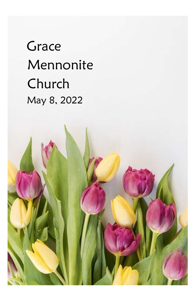# **Grace**  Mennonite Church May 8, 2022

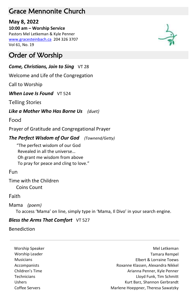# Grace Mennonite Church

## **May 8, 2022**

**10:00 am – Worship Service** Pastors Mel Letkeman & Kyle Penner [www.gracesteinbach.ca](http://www.gracesteinbach.ca/) 204 326 3707 Vol 61, No. 19

# Order of Worship

### *Come, Christians, Join to Sing*  $VT 28$

Welcome and Life of the Congregation

Call to Worship

### **When Love Is Found** VT 524

Telling Stories

### *Like a Mother Who Has Borne Us (duet)*

Food

Prayer of Gratitude and Congregational Prayer

### *The Perfect Wisdom of Our God (Townend/Getty)*

"The perfect wisdom of our God Revealed in all the universe… Oh grant me wisdom from above To pray for peace and cling to love."

### Fun

Time with the Children Coins Count

### Faith

Mama *(poem)* 

To access 'Mama' on line, simply type in 'Mama, Il Divo' in your search engine.

### **Bless the Arms That Comfort** VT 527

Benediction

Worship Speaker Mel Letkeman and the Mel Letkeman and the Mel Letkeman and Mel Letkeman Worship Leader **Tamara Rempel** and the control of the control of the control of the control of the control of the control of the control of the control of the control of the control of the control of the control of the con Musicians Elbert & Lorraine Toews Accompanists Roxanne Klassen, Alexandra Nikkel Children's Time **Arianna Penner**, Kyle Penner Technicians Lloyd Funk, Tim Schmitt Ushers Kurt Barz, Shannon Gerbrandt Coffee Servers **Maritimes** Marlene Hoeppner, Theresa Sawatzky

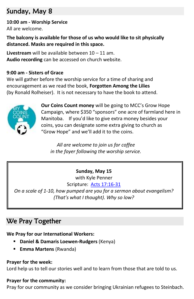# Sunday, May 8

# **10:00 am - Worship Service**

All are welcome.

**The balcony is available for those of us who would like to sit physically distanced. Masks are required in this space.**

**Livestream** will be available between 10 – 11 am. **Audio recording** can be accessed on church website.

#### **9:00 am - Sisters of Grace**

We will gather before the worship service for a time of sharing and encouragement as we read the book, **Forgotten Among the Lilies**  (by Ronald Rolheiser). It is not necessary to have the book to attend.



**Our Coins Count money** will be going to MCC's Grow Hope Campaign, where \$350 "sponsors" one acre of farmland here in Manitoba. If you'd like to give extra money besides your coins, you can designate some extra giving to church as "Grow Hope" and we'll add it to the coins.

*All are welcome to join us for coffee in the foyer following the worship service.*

### **Sunday, May 15**

with Kyle Penner

Scripture: [Acts 17:16-31](https://www.biblegateway.com/passage/?search=Acts+17%3A16-31+&version=NRSVUE)

*On a scale of 1-10, how pumped are you for a sermon about evangelism? (That's what I thought). Why so low?*

# We Pray Together

**We Pray for our International Workers:** 

- **Daniel & Damaris Loewen-Rudgers** (Kenya)
- **Emma Martens** (Rwanda)

#### **Prayer for the week:**

Lord help us to tell our stories well and to learn from those that are told to us.

#### **Prayer for the community:**

Pray for our community as we consider bringing Ukrainian refugees to Steinbach.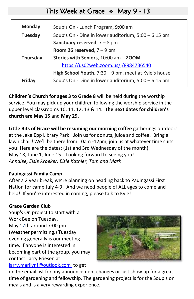# This Week at Grace  $\div$  May 9 - 13

| Monday          | Soup's On - Lunch Program, 9:00 am                   |
|-----------------|------------------------------------------------------|
| <b>Tuesday</b>  | Soup's On - Dine in lower auditorium, 5:00 - 6:15 pm |
|                 | Sanctuary reserved, $7 - 8$ pm                       |
|                 | Room 26 reserved, $7 - 9$ pm                         |
| <b>Thursday</b> | Stories with Seniors, 10:00 am - ZOOM                |
|                 | https://us02web.zoom.us/j/8984736540                 |
|                 |                                                      |
|                 | High School Youth, 7:30 - 9 pm, meet at Kyle's house |

**Children's Church for ages 3 to Grade 8** will be held during the worship service. You may pick up your children following the worship service in the upper level classrooms 10, 11, 12, 13 & 14. **The next dates for children's church are May 15** and **May 29.**

**Little Bits of Grace will be resuming our morning coffee** gatherings outdoors at the Jake Epp Library Park! Join us for donuts, juice and coffee. Bring a lawn chair! We'll be there from 10am -12pm, join us at whatever time suits you! Here are the dates: (1st and 3rd Wednesday of the month): May 18, June 1, June 15. Looking forward to seeing you! *Annalee, Elsie Kroeker, Elsie Kathler, Tam and Mark*

#### **Pauingassi Family Camp**

After a 2 year break, we're planning on heading back to Pauingassi First Nation for camp July 4-9! And we need people of ALL ages to come and help! If you're interested in coming, please talk to Kyle!

#### **Grace Garden Club**

Soup's On project to start with a Work Bee on Tuesday, May 17th around 7:00 pm. (Weather permitting.) Tuesday evening generally is our meeting time. If anyone is interested in becoming part of the group, you may contact Larry Friesen at [larry.marilynf@outlook.com](mailto:larry.marilynf@outlook.com) to get



on the email list for any announcement changes or just show up for a great time of gardening and fellowship. The gardening project is for the Soup's on meals and is a very rewarding experience.